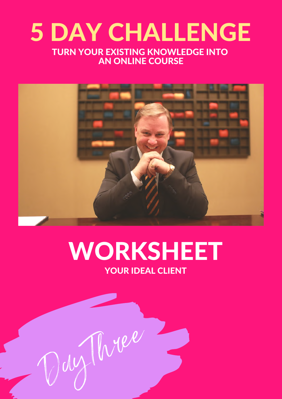#### 5 DAY CHALLENGE TURN YOUR EXISTING KNOWLEDGE INTO AN ONLINE COURSE



#### WORKSHEET YOUR IDEAL CLIENT

Day Three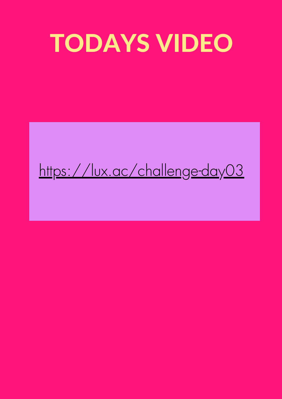## TODAYS VIDEO

#### <https://lux.ac/challenge-day03>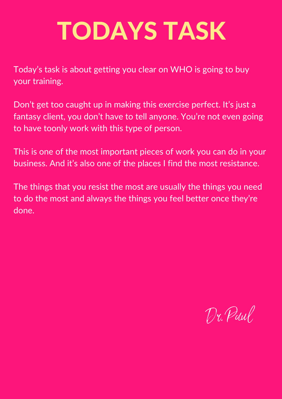Today's task is about getting you clear on WHO is going to buy your training.

Don't get too caught up in making this exercise perfect. It's just a fantasy client, you don't have to tell anyone. You're not even going to have toonly work with this type of person.

This is one of the most important pieces of work you can do in your business. And it's also one of the places I find the most resistance.

The things that you resist the most are usually the things you need to do the most and always the things you feel better once they're done.

Dr. Paul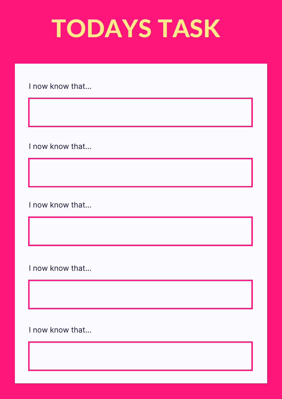I now know that...

I now know that...

I now know that...

I now know that...

I now know that...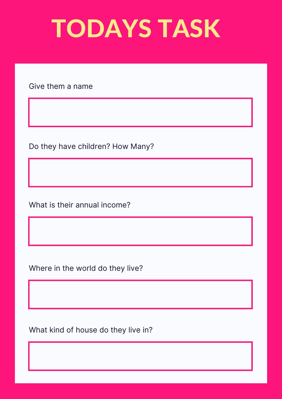Give them a name

Do they have children? How Many?

What is their annual income?

Where in the world do they live?

What kind of house do they live in?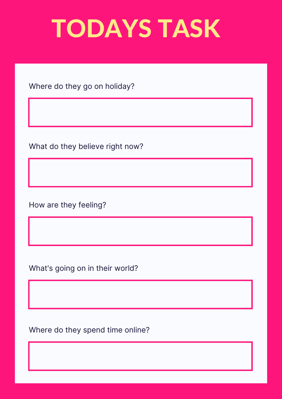Where do they go on holiday?

What do they believe right now?

How are they feeling?

What's going on in their world?

Where do they spend time online?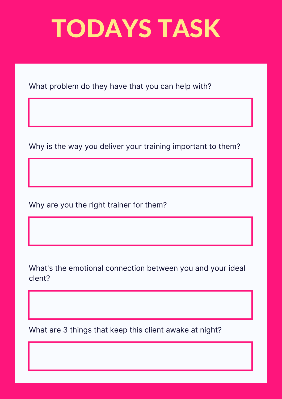What problem do they have that you can help with?

Why is the way you deliver your training important to them?

Why are you the right trainer for them?

What's the emotional connection between you and your ideal clent?

What are 3 things that keep this client awake at night?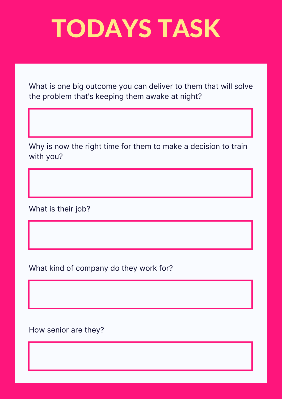What is one big outcome you can deliver to them that will solve the problem that's keeping them awake at night?

Why is now the right time for them to make a decision to train with you?

What is their job?

What kind of company do they work for?

How senior are they?